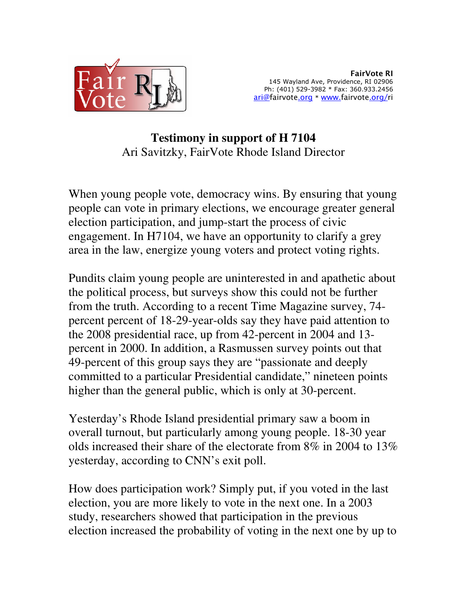

FairVote RI 145 Wayland Ave, Providence, RI 02906 Ph: (401) 529-3982 \* Fax: 360.933.2456 ari@fairvote.org \* www.fairvote.org/ri

## **Testimony in support of H 7104**  Ari Savitzky, FairVote Rhode Island Director

When young people vote, democracy wins. By ensuring that young people can vote in primary elections, we encourage greater general election participation, and jump-start the process of civic engagement. In H7104, we have an opportunity to clarify a grey area in the law, energize young voters and protect voting rights.

Pundits claim young people are uninterested in and apathetic about the political process, but surveys show this could not be further from the truth. According to a recent Time Magazine survey, 74 percent percent of 18-29-year-olds say they have paid attention to the 2008 presidential race, up from 42-percent in 2004 and 13 percent in 2000. In addition, a Rasmussen survey points out that 49-percent of this group says they are "passionate and deeply committed to a particular Presidential candidate," nineteen points higher than the general public, which is only at 30-percent.

Yesterday's Rhode Island presidential primary saw a boom in overall turnout, but particularly among young people. 18-30 year olds increased their share of the electorate from 8% in 2004 to 13% yesterday, according to CNN's exit poll.

How does participation work? Simply put, if you voted in the last election, you are more likely to vote in the next one. In a 2003 study, researchers showed that participation in the previous election increased the probability of voting in the next one by up to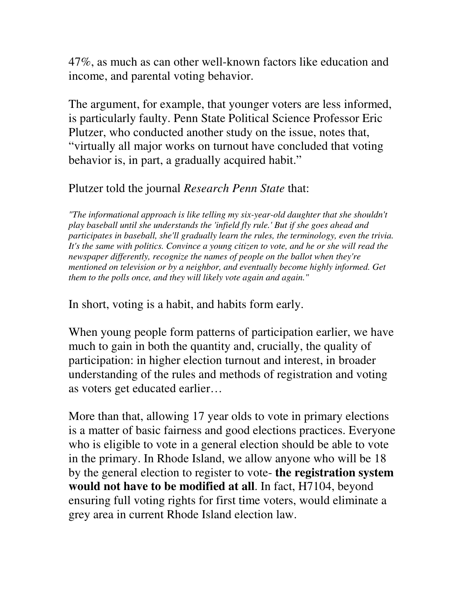47%, as much as can other well-known factors like education and income, and parental voting behavior.

The argument, for example, that younger voters are less informed, is particularly faulty. Penn State Political Science Professor Eric Plutzer, who conducted another study on the issue, notes that, "virtually all major works on turnout have concluded that voting behavior is, in part, a gradually acquired habit."

## Plutzer told the journal *Research Penn State* that:

*"The informational approach is like telling my six-year-old daughter that she shouldn't play baseball until she understands the 'infield fly rule.' But if she goes ahead and participates in baseball, she'll gradually learn the rules, the terminology, even the trivia.*  It's the same with politics. Convince a young citizen to vote, and he or she will read the *newspaper differently, recognize the names of people on the ballot when they're mentioned on television or by a neighbor, and eventually become highly informed. Get them to the polls once, and they will likely vote again and again."* 

In short, voting is a habit, and habits form early.

When young people form patterns of participation earlier, we have much to gain in both the quantity and, crucially, the quality of participation: in higher election turnout and interest, in broader understanding of the rules and methods of registration and voting as voters get educated earlier…

More than that, allowing 17 year olds to vote in primary elections is a matter of basic fairness and good elections practices. Everyone who is eligible to vote in a general election should be able to vote in the primary. In Rhode Island, we allow anyone who will be 18 by the general election to register to vote- **the registration system would not have to be modified at all**. In fact, H7104, beyond ensuring full voting rights for first time voters, would eliminate a grey area in current Rhode Island election law.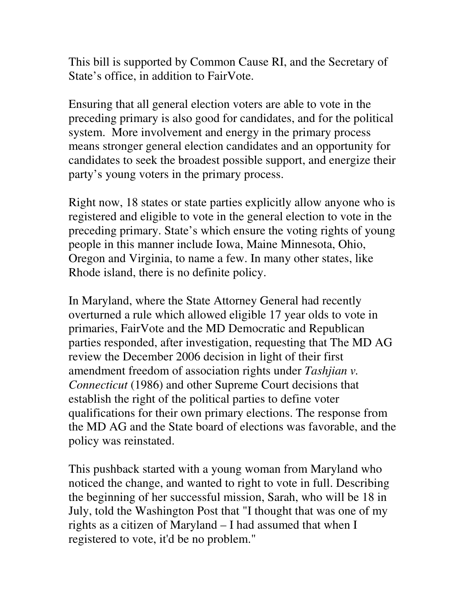This bill is supported by Common Cause RI, and the Secretary of State's office, in addition to FairVote.

Ensuring that all general election voters are able to vote in the preceding primary is also good for candidates, and for the political system. More involvement and energy in the primary process means stronger general election candidates and an opportunity for candidates to seek the broadest possible support, and energize their party's young voters in the primary process.

Right now, 18 states or state parties explicitly allow anyone who is registered and eligible to vote in the general election to vote in the preceding primary. State's which ensure the voting rights of young people in this manner include Iowa, Maine Minnesota, Ohio, Oregon and Virginia, to name a few. In many other states, like Rhode island, there is no definite policy.

In Maryland, where the State Attorney General had recently overturned a rule which allowed eligible 17 year olds to vote in primaries, FairVote and the MD Democratic and Republican parties responded, after investigation, requesting that The MD AG review the December 2006 decision in light of their first amendment freedom of association rights under *Tashjian v. Connecticut* (1986) and other Supreme Court decisions that establish the right of the political parties to define voter qualifications for their own primary elections. The response from the MD AG and the State board of elections was favorable, and the policy was reinstated.

This pushback started with a young woman from Maryland who noticed the change, and wanted to right to vote in full. Describing the beginning of her successful mission, Sarah, who will be 18 in July, told the Washington Post that "I thought that was one of my rights as a citizen of Maryland – I had assumed that when I registered to vote, it'd be no problem."